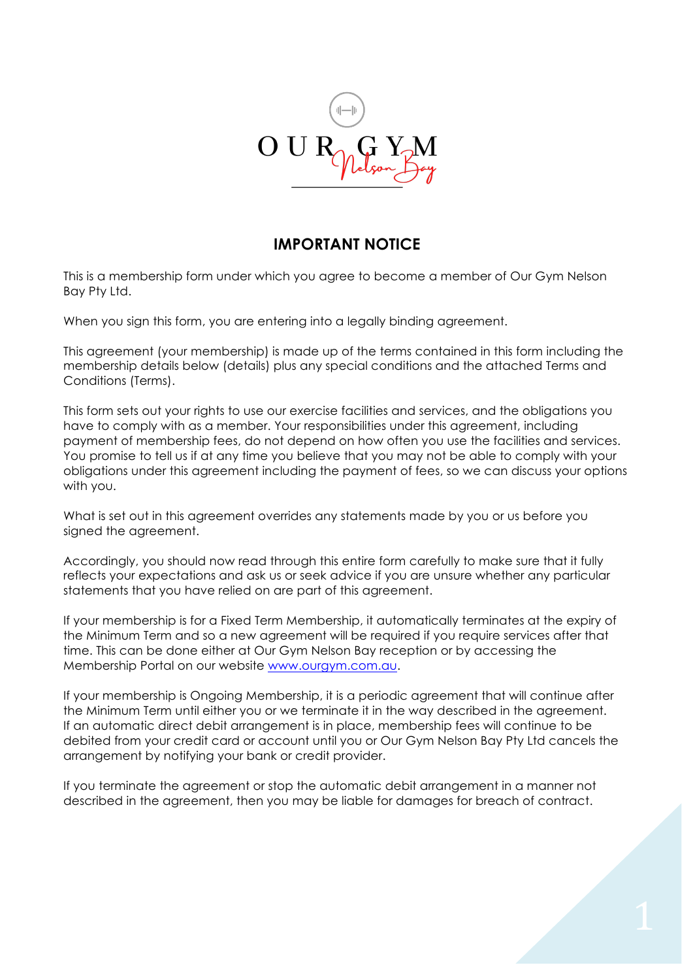

# **IMPORTANT NOTICE**

This is a membership form under which you agree to become a member of Our Gym Nelson Bay Pty Ltd.

When you sign this form, you are entering into a legally binding agreement.

This agreement (your membership) is made up of the terms contained in this form including the membership details below (details) plus any special conditions and the attached Terms and Conditions (Terms).

This form sets out your rights to use our exercise facilities and services, and the obligations you have to comply with as a member. Your responsibilities under this agreement, including payment of membership fees, do not depend on how often you use the facilities and services. You promise to tell us if at any time you believe that you may not be able to comply with your obligations under this agreement including the payment of fees, so we can discuss your options with you.

What is set out in this agreement overrides any statements made by you or us before you signed the agreement.

Accordingly, you should now read through this entire form carefully to make sure that it fully reflects your expectations and ask us or seek advice if you are unsure whether any particular statements that you have relied on are part of this agreement.

If your membership is for a Fixed Term Membership, it automatically terminates at the expiry of the Minimum Term and so a new agreement will be required if you require services after that time. This can be done either at Our Gym Nelson Bay reception or by accessing the Membership Portal on our website www.ourgym.com.au.

If your membership is Ongoing Membership, it is a periodic agreement that will continue after the Minimum Term until either you or we terminate it in the way described in the agreement. If an automatic direct debit arrangement is in place, membership fees will continue to be debited from your credit card or account until you or Our Gym Nelson Bay Pty Ltd cancels the arrangement by notifying your bank or credit provider.

If you terminate the agreement or stop the automatic debit arrangement in a manner not described in the agreement, then you may be liable for damages for breach of contract.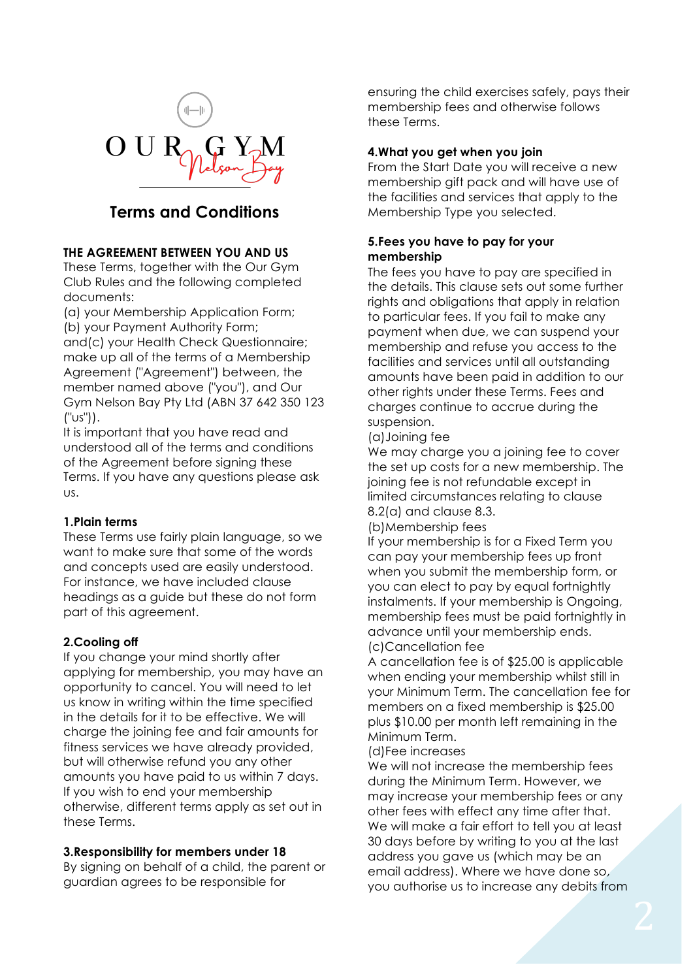

# **Terms and Conditions**

# **THE AGREEMENT BETWEEN YOU AND US**

These Terms, together with the Our Gym Club Rules and the following completed documents:

(a) your Membership Application Form; (b) your Payment Authority Form;

and(c) your Health Check Questionnaire; make up all of the terms of a Membership Agreement ("Agreement") between, the member named above ("you"), and Our Gym Nelson Bay Pty Ltd (ABN 37 642 350 123 ("us")).

It is important that you have read and understood all of the terms and conditions of the Agreement before signing these Terms. If you have any questions please ask us.

## **1.Plain terms**

These Terms use fairly plain language, so we want to make sure that some of the words and concepts used are easily understood. For instance, we have included clause headings as a guide but these do not form part of this agreement.

## **2.Cooling off**

If you change your mind shortly after applying for membership, you may have an opportunity to cancel. You will need to let us know in writing within the time specified in the details for it to be effective. We will charge the joining fee and fair amounts for fitness services we have already provided, but will otherwise refund you any other amounts you have paid to us within 7 days. If you wish to end your membership otherwise, different terms apply as set out in these Terms.

### **3.Responsibility for members under 18**

By signing on behalf of a child, the parent or guardian agrees to be responsible for

ensuring the child exercises safely, pays their membership fees and otherwise follows these Terms.

### **4.What you get when you join**

From the Start Date you will receive a new membership gift pack and will have use of the facilities and services that apply to the Membership Type you selected.

# **5.Fees you have to pay for your membership**

The fees you have to pay are specified in the details. This clause sets out some further rights and obligations that apply in relation to particular fees. If you fail to make any payment when due, we can suspend your membership and refuse you access to the facilities and services until all outstanding amounts have been paid in addition to our other rights under these Terms. Fees and charges continue to accrue during the suspension.

### (a)Joining fee

We may charge you a joining fee to cover the set up costs for a new membership. The joining fee is not refundable except in limited circumstances relating to clause 8.2(a) and clause 8.3.

(b)Membership fees

If your membership is for a Fixed Term you can pay your membership fees up front when you submit the membership form, or you can elect to pay by equal fortnightly instalments. If your membership is Ongoing, membership fees must be paid fortnightly in advance until your membership ends. (c)Cancellation fee

A cancellation fee is of \$25.00 is applicable when ending your membership whilst still in your Minimum Term. The cancellation fee for members on a fixed membership is \$25.00 plus \$10.00 per month left remaining in the Minimum Term.

(d)Fee increases

We will not increase the membership fees during the Minimum Term. However, we may increase your membership fees or any other fees with effect any time after that. We will make a fair effort to tell you at least 30 days before by writing to you at the last address you gave us (which may be an email address). Where we have done so, you authorise us to increase any debits from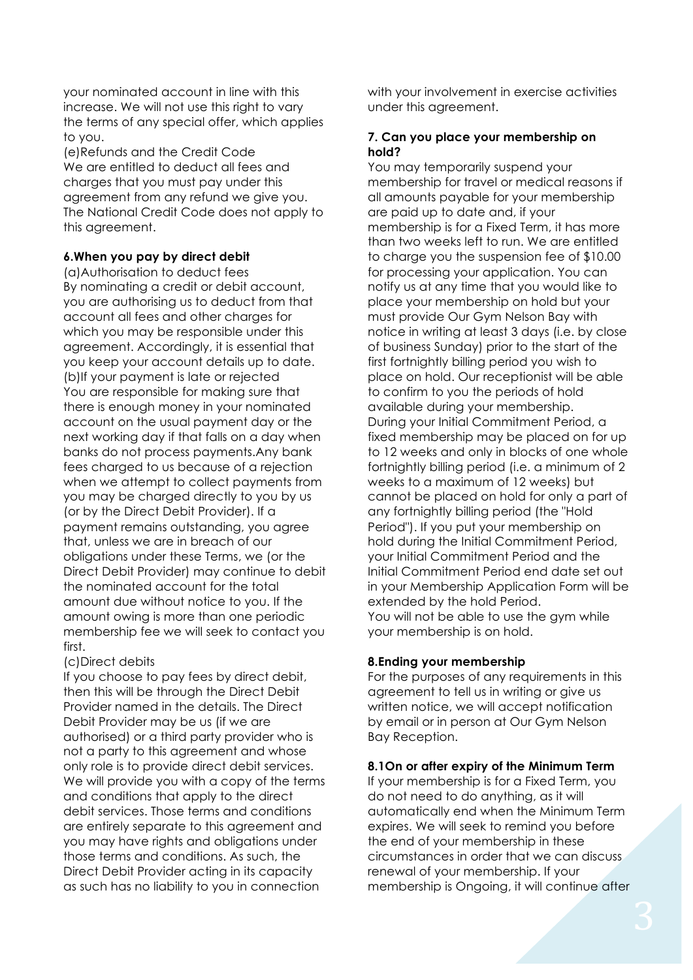your nominated account in line with this increase. We will not use this right to vary the terms of any special offer, which applies to you.

(e)Refunds and the Credit Code We are entitled to deduct all fees and charges that you must pay under this agreement from any refund we give you. The National Credit Code does not apply to this agreement.

### **6.When you pay by direct debit**

(a)Authorisation to deduct fees By nominating a credit or debit account, you are authorising us to deduct from that account all fees and other charges for which you may be responsible under this agreement. Accordingly, it is essential that you keep your account details up to date. (b)If your payment is late or rejected You are responsible for making sure that there is enough money in your nominated account on the usual payment day or the next working day if that falls on a day when banks do not process payments.Any bank fees charged to us because of a rejection when we attempt to collect payments from you may be charged directly to you by us (or by the Direct Debit Provider). If a payment remains outstanding, you agree that, unless we are in breach of our obligations under these Terms, we (or the Direct Debit Provider) may continue to debit the nominated account for the total amount due without notice to you. If the amount owing is more than one periodic membership fee we will seek to contact you first.

#### (c)Direct debits

If you choose to pay fees by direct debit, then this will be through the Direct Debit Provider named in the details. The Direct Debit Provider may be us (if we are authorised) or a third party provider who is not a party to this agreement and whose only role is to provide direct debit services. We will provide you with a copy of the terms and conditions that apply to the direct debit services. Those terms and conditions are entirely separate to this agreement and you may have rights and obligations under those terms and conditions. As such, the Direct Debit Provider acting in its capacity as such has no liability to you in connection

with your involvement in exercise activities under this agreement.

### **7. Can you place your membership on hold?**

You may temporarily suspend your membership for travel or medical reasons if all amounts payable for your membership are paid up to date and, if your membership is for a Fixed Term, it has more than two weeks left to run. We are entitled to charge you the suspension fee of \$10.00 for processing your application. You can notify us at any time that you would like to place your membership on hold but your must provide Our Gym Nelson Bay with notice in writing at least 3 days (i.e. by close of business Sunday) prior to the start of the first fortnightly billing period you wish to place on hold. Our receptionist will be able to confirm to you the periods of hold available during your membership. During your Initial Commitment Period, a fixed membership may be placed on for up to 12 weeks and only in blocks of one whole fortnightly billing period (i.e. a minimum of 2 weeks to a maximum of 12 weeks) but cannot be placed on hold for only a part of any fortnightly billing period (the "Hold Period"). If you put your membership on hold during the Initial Commitment Period, your Initial Commitment Period and the Initial Commitment Period end date set out in your Membership Application Form will be extended by the hold Period. You will not be able to use the gym while your membership is on hold.

#### **8.Ending your membership**

For the purposes of any requirements in this agreement to tell us in writing or give us written notice, we will accept notification by email or in person at Our Gym Nelson Bay Reception.

#### **8.1On or after expiry of the Minimum Term**

If your membership is for a Fixed Term, you do not need to do anything, as it will automatically end when the Minimum Term expires. We will seek to remind you before the end of your membership in these circumstances in order that we can discuss renewal of your membership. If your membership is Ongoing, it will continue after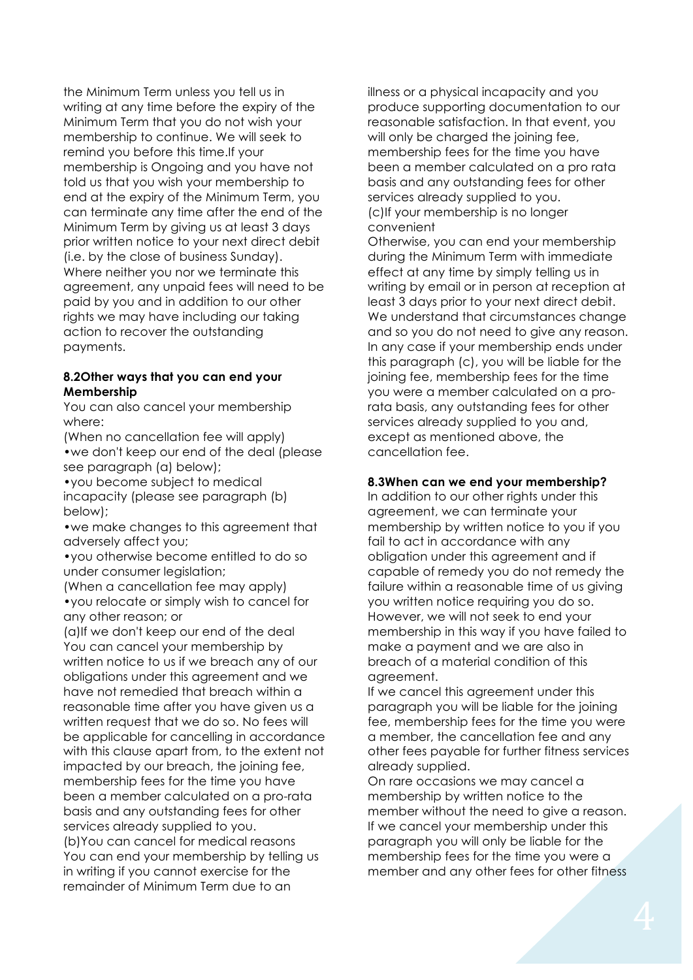the Minimum Term unless you tell us in writing at any time before the expiry of the Minimum Term that you do not wish your membership to continue. We will seek to remind you before this time.If your membership is Ongoing and you have not told us that you wish your membership to end at the expiry of the Minimum Term, you can terminate any time after the end of the Minimum Term by giving us at least 3 days prior written notice to your next direct debit (i.e. by the close of business Sunday). Where neither you nor we terminate this agreement, any unpaid fees will need to be paid by you and in addition to our other rights we may have including our taking action to recover the outstanding payments.

### **8.2Other ways that you can end your Membership**

You can also cancel your membership where:

(When no cancellation fee will apply) •we don't keep our end of the deal (please see paragraph (a) below);

•you become subject to medical incapacity (please see paragraph (b) below);

•we make changes to this agreement that adversely affect you;

•you otherwise become entitled to do so under consumer legislation;

(When a cancellation fee may apply) •you relocate or simply wish to cancel for any other reason; or

(a)If we don't keep our end of the deal You can cancel your membership by written notice to us if we breach any of our obligations under this agreement and we have not remedied that breach within a reasonable time after you have given us a written request that we do so. No fees will be applicable for cancelling in accordance with this clause apart from, to the extent not impacted by our breach, the joining fee, membership fees for the time you have been a member calculated on a pro-rata basis and any outstanding fees for other services already supplied to you.

(b)You can cancel for medical reasons You can end your membership by telling us in writing if you cannot exercise for the remainder of Minimum Term due to an

illness or a physical incapacity and you produce supporting documentation to our reasonable satisfaction. In that event, you will only be charged the joining fee, membership fees for the time you have been a member calculated on a pro rata basis and any outstanding fees for other services already supplied to you. (c)If your membership is no longer convenient

Otherwise, you can end your membership during the Minimum Term with immediate effect at any time by simply telling us in writing by email or in person at reception at least 3 days prior to your next direct debit. We understand that circumstances change and so you do not need to give any reason. In any case if your membership ends under this paragraph (c), you will be liable for the joining fee, membership fees for the time you were a member calculated on a prorata basis, any outstanding fees for other services already supplied to you and, except as mentioned above, the cancellation fee.

### **8.3When can we end your membership?**

In addition to our other rights under this agreement, we can terminate your membership by written notice to you if you fail to act in accordance with any obligation under this agreement and if capable of remedy you do not remedy the failure within a reasonable time of us giving you written notice requiring you do so. However, we will not seek to end your membership in this way if you have failed to make a payment and we are also in breach of a material condition of this agreement.

If we cancel this agreement under this paragraph you will be liable for the joining fee, membership fees for the time you were a member, the cancellation fee and any other fees payable for further fitness services already supplied.

On rare occasions we may cancel a membership by written notice to the member without the need to give a reason. If we cancel your membership under this paragraph you will only be liable for the membership fees for the time you were a member and any other fees for other fitness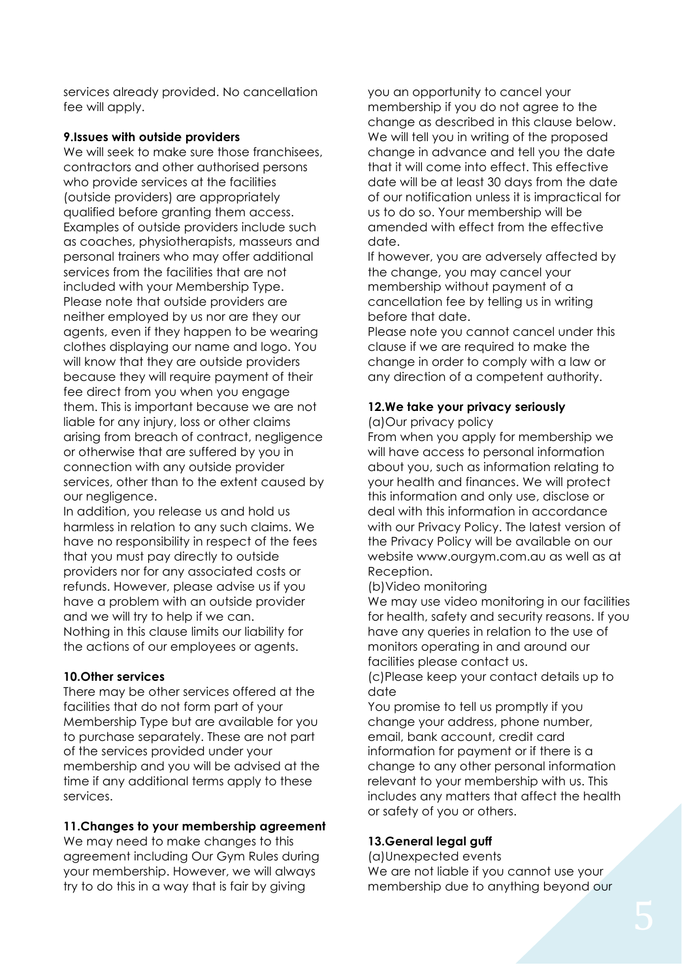services already provided. No cancellation fee will apply.

### **9.Issues with outside providers**

We will seek to make sure those franchisees, contractors and other authorised persons who provide services at the facilities (outside providers) are appropriately qualified before granting them access. Examples of outside providers include such as coaches, physiotherapists, masseurs and personal trainers who may offer additional services from the facilities that are not included with your Membership Type. Please note that outside providers are neither employed by us nor are they our agents, even if they happen to be wearing clothes displaying our name and logo. You will know that they are outside providers because they will require payment of their fee direct from you when you engage them. This is important because we are not liable for any injury, loss or other claims arising from breach of contract, negligence or otherwise that are suffered by you in connection with any outside provider services, other than to the extent caused by our negligence.

In addition, you release us and hold us harmless in relation to any such claims. We have no responsibility in respect of the fees that you must pay directly to outside providers nor for any associated costs or refunds. However, please advise us if you have a problem with an outside provider and we will try to help if we can. Nothing in this clause limits our liability for the actions of our employees or agents.

## **10.Other services**

There may be other services offered at the facilities that do not form part of your Membership Type but are available for you to purchase separately. These are not part of the services provided under your membership and you will be advised at the time if any additional terms apply to these services.

## **11.Changes to your membership agreement**

We may need to make changes to this agreement including Our Gym Rules during your membership. However, we will always try to do this in a way that is fair by giving

you an opportunity to cancel your membership if you do not agree to the change as described in this clause below. We will tell you in writing of the proposed change in advance and tell you the date that it will come into effect. This effective date will be at least 30 days from the date of our notification unless it is impractical for us to do so. Your membership will be amended with effect from the effective date.

If however, you are adversely affected by the change, you may cancel your membership without payment of a cancellation fee by telling us in writing before that date.

Please note you cannot cancel under this clause if we are required to make the change in order to comply with a law or any direction of a competent authority.

# **12.We take your privacy seriously**

(a)Our privacy policy

From when you apply for membership we will have access to personal information about you, such as information relating to your health and finances. We will protect this information and only use, disclose or deal with this information in accordance with our Privacy Policy. The latest version of the Privacy Policy will be available on our website www.ourgym.com.au as well as at Reception.

## (b)Video monitoring

We may use video monitoring in our facilities for health, safety and security reasons. If you have any queries in relation to the use of monitors operating in and around our facilities please contact us.

(c)Please keep your contact details up to date

You promise to tell us promptly if you change your address, phone number, email, bank account, credit card information for payment or if there is a change to any other personal information relevant to your membership with us. This includes any matters that affect the health or safety of you or others.

# **13.General legal guff**

(a)Unexpected events We are not liable if you cannot use your membership due to anything beyond our